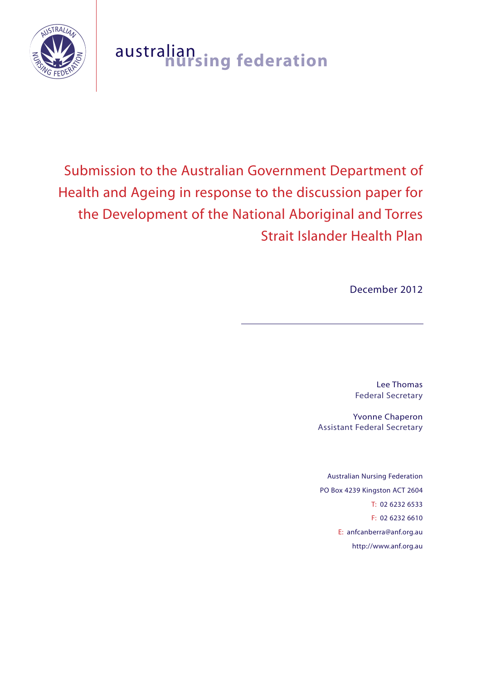

# australian **nursing federation**

# Submission to the Australian Government Department of Health and Ageing in response to the discussion paper for the Development of the National Aboriginal and Torres Strait Islander Health Plan

December 2012

Lee Thomas Federal Secretary

Yvonne Chaperon Assistant Federal Secretary

Australian Nursing Federation PO Box 4239 Kingston ACT 2604 T: 02 6232 6533 F: 02 6232 6610 E: anfcanberra@anf.org.au http://www.anf.org.au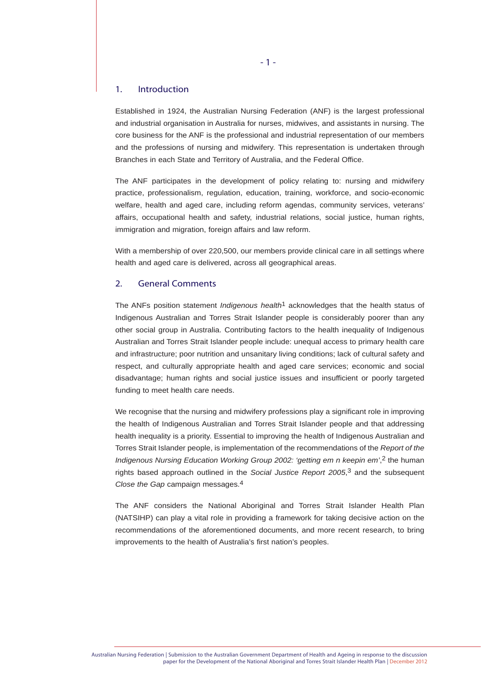#### 1. Introduction

Established in 1924, the Australian Nursing Federation (ANF) is the largest professional and industrial organisation in Australia for nurses, midwives, and assistants in nursing. The core business for the ANF is the professional and industrial representation of our members and the professions of nursing and midwifery. This representation is undertaken through Branches in each State and Territory of Australia, and the Federal Office.

The ANF participates in the development of policy relating to: nursing and midwifery practice, professionalism, regulation, education, training, workforce, and socio-economic welfare, health and aged care, including reform agendas, community services, veterans' affairs, occupational health and safety, industrial relations, social justice, human rights, immigration and migration, foreign affairs and law reform.

With a membership of over 220,500, our members provide clinical care in all settings where health and aged care is delivered, across all geographical areas.

#### 2. General Comments

The ANFs position statement *Indigenous health*1 acknowledges that the health status of Indigenous Australian and Torres Strait Islander people is considerably poorer than any other social group in Australia. Contributing factors to the health inequality of Indigenous Australian and Torres Strait Islander people include: unequal access to primary health care and infrastructure; poor nutrition and unsanitary living conditions; lack of cultural safety and respect, and culturally appropriate health and aged care services; economic and social disadvantage; human rights and social justice issues and insufficient or poorly targeted funding to meet health care needs.

We recognise that the nursing and midwifery professions play a significant role in improving the health of Indigenous Australian and Torres Strait Islander people and that addressing health inequality is a priority. Essential to improving the health of Indigenous Australian and Torres Strait Islander people, is implementation of the recommendations of the *Report of the Indigenous Nursing Education Working Group 2002: 'getting em n keepin em'*, 2 the human rights based approach outlined in the *Social Justice Report 2005*, 3 and the subsequent *Close the Gap* campaign messages.4

The ANF considers the National Aboriginal and Torres Strait Islander Health Plan (NATSIHP) can play a vital role in providing a framework for taking decisive action on the recommendations of the aforementioned documents, and more recent research, to bring improvements to the health of Australia's first nation's peoples.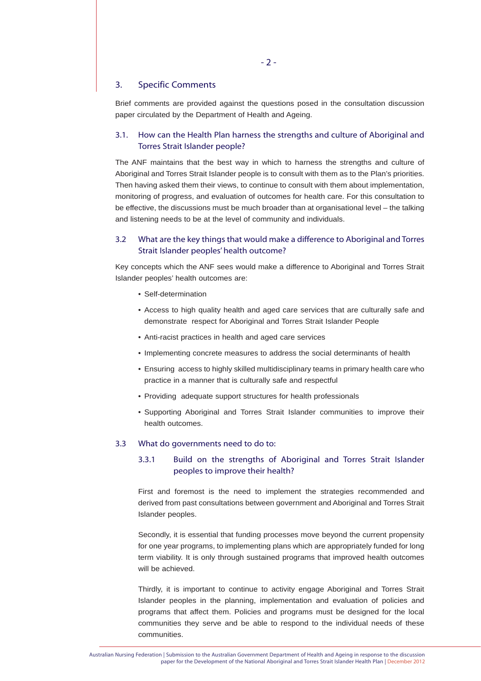#### 3. Specific Comments

Brief comments are provided against the questions posed in the consultation discussion paper circulated by the Department of Health and Ageing.

## 3.1. How can the Health Plan harness the strengths and culture of Aboriginal and Torres Strait Islander people?

The ANF maintains that the best way in which to harness the strengths and culture of Aboriginal and Torres Strait Islander people is to consult with them as to the Plan's priorities. Then having asked them their views, to continue to consult with them about implementation, monitoring of progress, and evaluation of outcomes for health care. For this consultation to be effective, the discussions must be much broader than at organisational level – the talking and listening needs to be at the level of community and individuals.

# 3.2 What are the key things that would make a difference to Aboriginal and Torres Strait Islander peoples' health outcome?

Key concepts which the ANF sees would make a difference to Aboriginal and Torres Strait Islander peoples' health outcomes are:

- Self-determination
- Access to high quality health and aged care services that are culturally safe and demonstrate respect for Aboriginal and Torres Strait Islander People
- Anti-racist practices in health and aged care services
- Implementing concrete measures to address the social determinants of health
- Ensuring access to highly skilled multidisciplinary teams in primary health care who practice in a manner that is culturally safe and respectful
- Providing adequate support structures for health professionals
- Supporting Aboriginal and Torres Strait Islander communities to improve their health outcomes.

#### 3.3 What do governments need to do to:

# 3.3.1 Build on the strengths of Aboriginal and Torres Strait Islander peoples to improve their health?

First and foremost is the need to implement the strategies recommended and derived from past consultations between government and Aboriginal and Torres Strait Islander peoples.

Secondly, it is essential that funding processes move beyond the current propensity for one year programs, to implementing plans which are appropriately funded for long term viability. It is only through sustained programs that improved health outcomes will be achieved.

Thirdly, it is important to continue to activity engage Aboriginal and Torres Strait Islander peoples in the planning, implementation and evaluation of policies and programs that affect them. Policies and programs must be designed for the local communities they serve and be able to respond to the individual needs of these communities.

Australian Nursing Federation | Submission to the Australian Government Department of Health and Ageing in response to the discussion paper for the Development of the National Aboriginal and Torres Strait Islander Health Plan | December 2012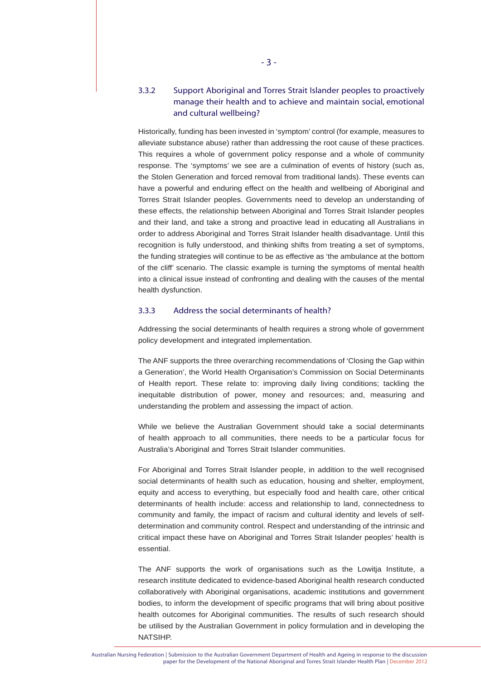# 3.3.2 Support Aboriginal and Torres Strait Islander peoples to proactively manage their health and to achieve and maintain social, emotional and cultural wellbeing?

Historically, funding has been invested in 'symptom' control (for example, measures to alleviate substance abuse) rather than addressing the root cause of these practices. This requires a whole of government policy response and a whole of community response. The 'symptoms' we see are a culmination of events of history (such as, the Stolen Generation and forced removal from traditional lands). These events can have a powerful and enduring effect on the health and wellbeing of Aboriginal and Torres Strait Islander peoples. Governments need to develop an understanding of these effects, the relationship between Aboriginal and Torres Strait Islander peoples and their land, and take a strong and proactive lead in educating all Australians in order to address Aboriginal and Torres Strait Islander health disadvantage. Until this recognition is fully understood, and thinking shifts from treating a set of symptoms, the funding strategies will continue to be as effective as 'the ambulance at the bottom of the cliff' scenario. The classic example is turning the symptoms of mental health into a clinical issue instead of confronting and dealing with the causes of the mental health dysfunction.

#### 3.3.3 Address the social determinants of health?

Addressing the social determinants of health requires a strong whole of government policy development and integrated implementation.

The ANF supports the three overarching recommendations of 'Closing the Gap within a Generation', the World Health Organisation's Commission on Social Determinants of Health report. These relate to: improving daily living conditions; tackling the inequitable distribution of power, money and resources; and, measuring and understanding the problem and assessing the impact of action.

While we believe the Australian Government should take a social determinants of health approach to all communities, there needs to be a particular focus for Australia's Aboriginal and Torres Strait Islander communities.

For Aboriginal and Torres Strait Islander people, in addition to the well recognised social determinants of health such as education, housing and shelter, employment, equity and access to everything, but especially food and health care, other critical determinants of health include: access and relationship to land, connectedness to community and family, the impact of racism and cultural identity and levels of selfdetermination and community control. Respect and understanding of the intrinsic and critical impact these have on Aboriginal and Torres Strait Islander peoples' health is essential.

The ANF supports the work of organisations such as the Lowitja Institute, a research institute dedicated to evidence-based Aboriginal health research conducted collaboratively with Aboriginal organisations, academic institutions and government bodies, to inform the development of specific programs that will bring about positive health outcomes for Aboriginal communities. The results of such research should be utilised by the Australian Government in policy formulation and in developing the NATSIHP.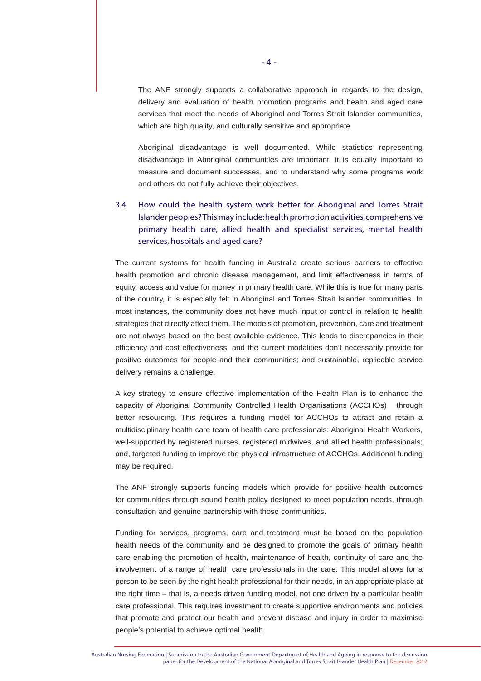The ANF strongly supports a collaborative approach in regards to the design, delivery and evaluation of health promotion programs and health and aged care services that meet the needs of Aboriginal and Torres Strait Islander communities, which are high quality, and culturally sensitive and appropriate.

Aboriginal disadvantage is well documented. While statistics representing disadvantage in Aboriginal communities are important, it is equally important to measure and document successes, and to understand why some programs work and others do not fully achieve their objectives.

# 3.4 How could the health system work better for Aboriginal and Torres Strait Islander peoples? This may include: health promotion activities, comprehensive primary health care, allied health and specialist services, mental health services, hospitals and aged care?

The current systems for health funding in Australia create serious barriers to effective health promotion and chronic disease management, and limit effectiveness in terms of equity, access and value for money in primary health care. While this is true for many parts of the country, it is especially felt in Aboriginal and Torres Strait Islander communities. In most instances, the community does not have much input or control in relation to health strategies that directly affect them. The models of promotion, prevention, care and treatment are not always based on the best available evidence. This leads to discrepancies in their efficiency and cost effectiveness; and the current modalities don't necessarily provide for positive outcomes for people and their communities; and sustainable, replicable service delivery remains a challenge.

A key strategy to ensure effective implementation of the Health Plan is to enhance the capacity of Aboriginal Community Controlled Health Organisations (ACCHOs) through better resourcing. This requires a funding model for ACCHOs to attract and retain a multidisciplinary health care team of health care professionals: Aboriginal Health Workers, well-supported by registered nurses, registered midwives, and allied health professionals; and, targeted funding to improve the physical infrastructure of ACCHOs. Additional funding may be required.

The ANF strongly supports funding models which provide for positive health outcomes for communities through sound health policy designed to meet population needs, through consultation and genuine partnership with those communities.

Funding for services, programs, care and treatment must be based on the population health needs of the community and be designed to promote the goals of primary health care enabling the promotion of health, maintenance of health, continuity of care and the involvement of a range of health care professionals in the care. This model allows for a person to be seen by the right health professional for their needs, in an appropriate place at the right time – that is, a needs driven funding model, not one driven by a particular health care professional. This requires investment to create supportive environments and policies that promote and protect our health and prevent disease and injury in order to maximise people's potential to achieve optimal health.

Australian Nursing Federation | Submission to the Australian Government Department of Health and Ageing in response to the discussion paper for the Development of the National Aboriginal and Torres Strait Islander Health Plan | December 2012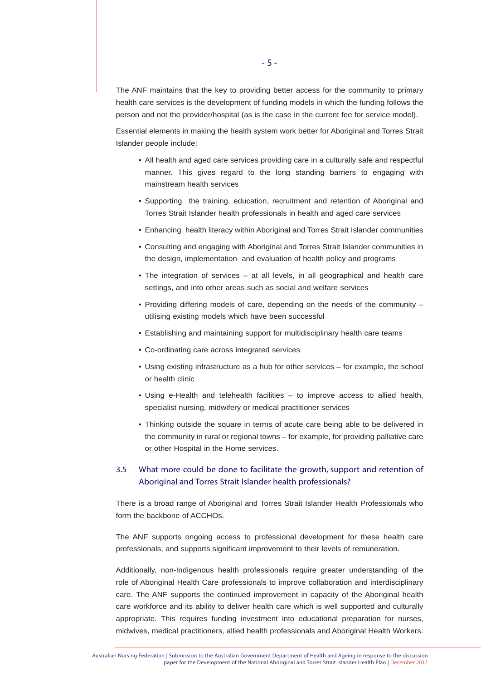The ANF maintains that the key to providing better access for the community to primary health care services is the development of funding models in which the funding follows the person and not the provider/hospital (as is the case in the current fee for service model).

Essential elements in making the health system work better for Aboriginal and Torres Strait Islander people include:

- All health and aged care services providing care in a culturally safe and respectful manner. This gives regard to the long standing barriers to engaging with mainstream health services
- Supporting the training, education, recruitment and retention of Aboriginal and Torres Strait Islander health professionals in health and aged care services
- Enhancing health literacy within Aboriginal and Torres Strait Islander communities
- Consulting and engaging with Aboriginal and Torres Strait Islander communities in the design, implementation and evaluation of health policy and programs
- The integration of services at all levels, in all geographical and health care settings, and into other areas such as social and welfare services
- Providing differing models of care, depending on the needs of the community utilising existing models which have been successful
- Establishing and maintaining support for multidisciplinary health care teams
- Co-ordinating care across integrated services
- Using existing infrastructure as a hub for other services for example, the school or health clinic
- Using e-Health and telehealth facilities to improve access to allied health, specialist nursing, midwifery or medical practitioner services
- Thinking outside the square in terms of acute care being able to be delivered in the community in rural or regional towns – for example, for providing palliative care or other Hospital in the Home services.

# 3.5 What more could be done to facilitate the growth, support and retention of Aboriginal and Torres Strait Islander health professionals?

There is a broad range of Aboriginal and Torres Strait Islander Health Professionals who form the backbone of ACCHOs.

The ANF supports ongoing access to professional development for these health care professionals, and supports significant improvement to their levels of remuneration.

Additionally, non-Indigenous health professionals require greater understanding of the role of Aboriginal Health Care professionals to improve collaboration and interdisciplinary care. The ANF supports the continued improvement in capacity of the Aboriginal health care workforce and its ability to deliver health care which is well supported and culturally appropriate. This requires funding investment into educational preparation for nurses, midwives, medical practitioners, allied health professionals and Aboriginal Health Workers.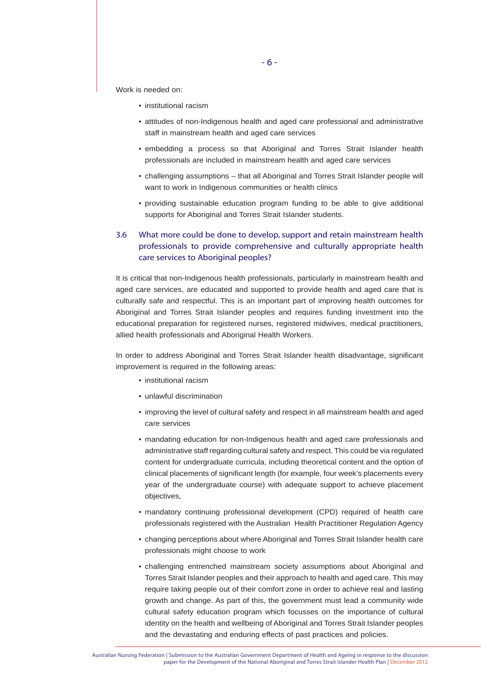Work is needed on:

- institutional racism
- attitudes of non-Indigenous health and aged care professional and administrative staff in mainstream health and aged care services
- embedding a process so that Aboriginal and Torres Strait Islander health professionals are included in mainstream health and aged care services
- challenging assumptions that all Aboriginal and Torres Strait Islander people will want to work in Indigenous communities or health clinics
- providing sustainable education program funding to be able to give additional supports for Aboriginal and Torres Strait Islander students.

# 3.6 What more could be done to develop, support and retain mainstream health professionals to provide comprehensive and culturally appropriate health care services to Aboriginal peoples?

It is critical that non-Indigenous health professionals, particularly in mainstream health and aged care services, are educated and supported to provide health and aged care that is culturally safe and respectful. This is an important part of improving health outcomes for Aboriginal and Torres Strait Islander peoples and requires funding investment into the educational preparation for registered nurses, registered midwives, medical practitioners, allied health professionals and Aboriginal Health Workers.

In order to address Aboriginal and Torres Strait Islander health disadvantage, significant improvement is required in the following areas:

- institutional racism
- unlawful discrimination
- improving the level of cultural safety and respect in all mainstream health and aged care services
- mandating education for non-Indigenous health and aged care professionals and administrative staff regarding cultural safety and respect. This could be via regulated content for undergraduate curricula, including theoretical content and the option of clinical placements of significant length (for example, four week's placements every year of the undergraduate course) with adequate support to achieve placement objectives,
- mandatory continuing professional development (CPD) required of health care professionals registered with the Australian Health Practitioner Regulation Agency
- changing perceptions about where Aboriginal and Torres Strait Islander health care professionals might choose to work
- challenging entrenched mainstream society assumptions about Aboriginal and Torres Strait Islander peoples and their approach to health and aged care. This may require taking people out of their comfort zone in order to achieve real and lasting growth and change. As part of this, the government must lead a community wide cultural safety education program which focusses on the importance of cultural identity on the health and wellbeing of Aboriginal and Torres Strait Islander peoples and the devastating and enduring effects of past practices and policies.

Australian Nursing Federation | Submission to the Australian Government Department of Health and Ageing in response to the discussion paper for the Development of the National Aboriginal and Torres Strait Islander Health Plan | December 2012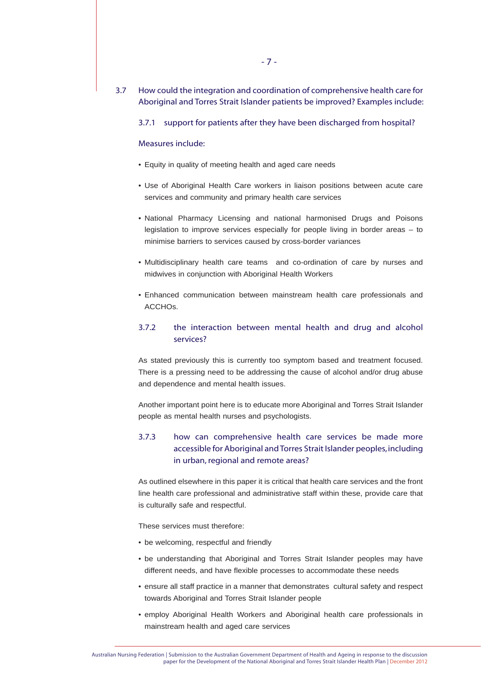- 3.7 How could the integration and coordination of comprehensive health care for Aboriginal and Torres Strait Islander patients be improved? Examples include:
	- 3.7.1 support for patients after they have been discharged from hospital?

#### Measures include:

- Equity in quality of meeting health and aged care needs
- Use of Aboriginal Health Care workers in liaison positions between acute care services and community and primary health care services
- National Pharmacy Licensing and national harmonised Drugs and Poisons legislation to improve services especially for people living in border areas – to minimise barriers to services caused by cross-border variances
- Multidisciplinary health care teams and co-ordination of care by nurses and midwives in conjunction with Aboriginal Health Workers
- Enhanced communication between mainstream health care professionals and ACCHOs.

## 3.7.2 the interaction between mental health and drug and alcohol services?

As stated previously this is currently too symptom based and treatment focused. There is a pressing need to be addressing the cause of alcohol and/or drug abuse and dependence and mental health issues.

Another important point here is to educate more Aboriginal and Torres Strait Islander people as mental health nurses and psychologists.

# 3.7.3 how can comprehensive health care services be made more accessible for Aboriginal and Torres Strait Islander peoples, including in urban, regional and remote areas?

As outlined elsewhere in this paper it is critical that health care services and the front line health care professional and administrative staff within these, provide care that is culturally safe and respectful.

These services must therefore:

- be welcoming, respectful and friendly
- be understanding that Aboriginal and Torres Strait Islander peoples may have different needs, and have flexible processes to accommodate these needs
- ensure all staff practice in a manner that demonstrates cultural safety and respect towards Aboriginal and Torres Strait Islander people
- employ Aboriginal Health Workers and Aboriginal health care professionals in mainstream health and aged care services

Australian Nursing Federation | Submission to the Australian Government Department of Health and Ageing in response to the discussion paper for the Development of the National Aboriginal and Torres Strait Islander Health Plan | December 2012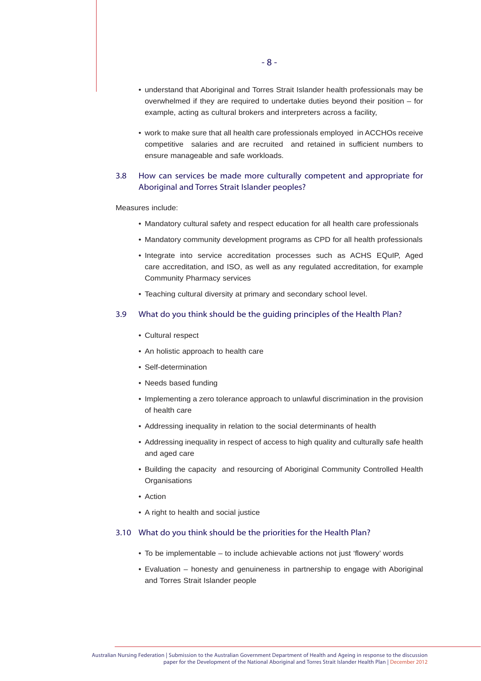- understand that Aboriginal and Torres Strait Islander health professionals may be overwhelmed if they are required to undertake duties beyond their position – for example, acting as cultural brokers and interpreters across a facility,
- work to make sure that all health care professionals employed in ACCHOs receive competitive salaries and are recruited and retained in sufficient numbers to ensure manageable and safe workloads.

## 3.8 How can services be made more culturally competent and appropriate for Aboriginal and Torres Strait Islander peoples?

Measures include:

- Mandatory cultural safety and respect education for all health care professionals
- Mandatory community development programs as CPD for all health professionals
- Integrate into service accreditation processes such as ACHS EQuIP, Aged care accreditation, and ISO, as well as any regulated accreditation, for example Community Pharmacy services
- Teaching cultural diversity at primary and secondary school level.

# 3.9 What do you think should be the guiding principles of the Health Plan?

- Cultural respect
- An holistic approach to health care
- Self-determination
- Needs based funding
- Implementing a zero tolerance approach to unlawful discrimination in the provision of health care
- Addressing inequality in relation to the social determinants of health
- Addressing inequality in respect of access to high quality and culturally safe health and aged care
- Building the capacity and resourcing of Aboriginal Community Controlled Health **Organisations**
- Action
- A right to health and social justice

#### 3.10 What do you think should be the priorities for the Health Plan?

- To be implementable to include achievable actions not just 'flowery' words
- Evaluation honesty and genuineness in partnership to engage with Aboriginal and Torres Strait Islander people